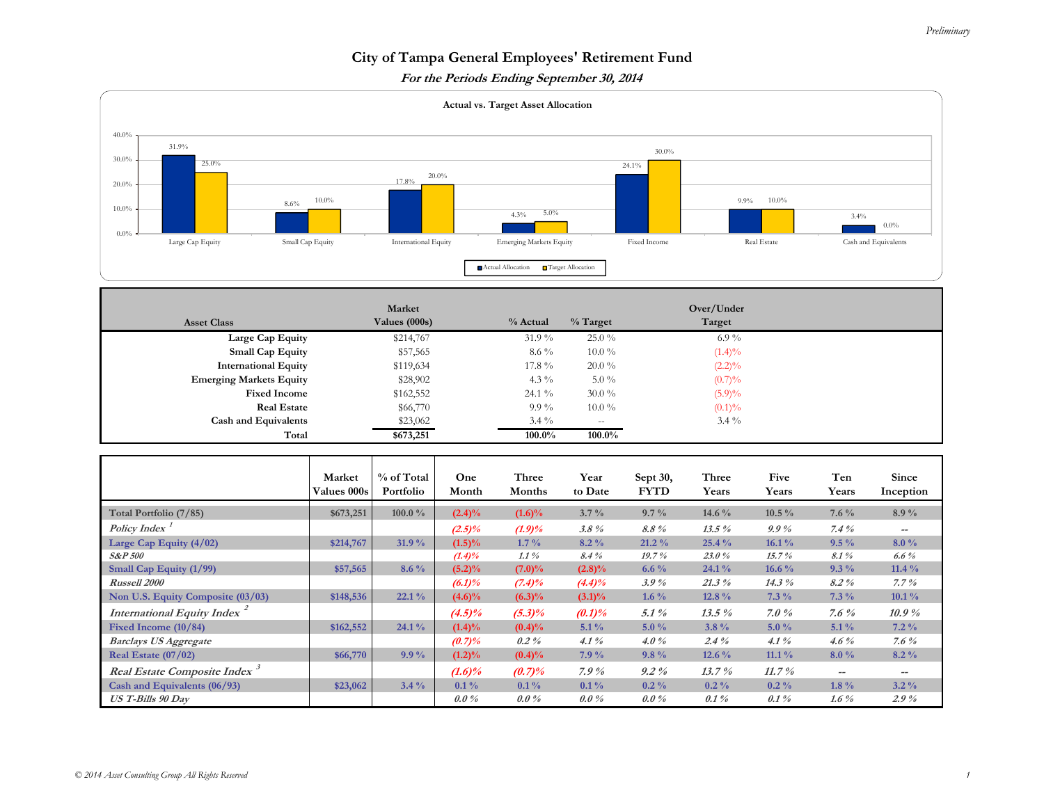## *Preliminary*

## **City of Tampa General Employees' Retirement Fund**

**For the Periods Ending September 30, 2014** 



| <b>Asset Class</b>             | Market<br>Values (000s) | % Actual | $%$ Target               | Over/Under<br>Target |  |
|--------------------------------|-------------------------|----------|--------------------------|----------------------|--|
| Large Cap Equity               | \$214,767               | $31.9\%$ | $25.0\%$                 | $6.9\%$              |  |
| <b>Small Cap Equity</b>        | \$57,565                | $8.6\%$  | $10.0\%$                 | $(1.4)\%$            |  |
| <b>International Equity</b>    | \$119,634               | 17.8 %   | $20.0\%$                 | $(2.2)\%$            |  |
| <b>Emerging Markets Equity</b> | \$28,902                | 4.3 $\%$ | $5.0\%$                  | (0.7)%               |  |
| <b>Fixed Income</b>            | \$162,552               | $24.1\%$ | $30.0\%$                 | $(5.9)\%$            |  |
| <b>Real Estate</b>             | \$66,770                | $9.9\%$  | $10.0\%$                 | $(0.1)\%$            |  |
| <b>Cash and Equivalents</b>    | \$23,062                | $3.4\%$  | $\overline{\phantom{a}}$ | $3.4\%$              |  |
| Total                          | \$673,251               | 100.0%   | 100.0%                   |                      |  |

|                                          | Market<br><b>Values 000s</b> | % of Total<br>Portfolio | One<br>Month | Three<br>Months | Year<br>to Date | Sept 30,<br><b>FYTD</b> | Three<br>Years | Five<br>Years | Ten<br>Years | Since<br>Inception                    |
|------------------------------------------|------------------------------|-------------------------|--------------|-----------------|-----------------|-------------------------|----------------|---------------|--------------|---------------------------------------|
| Total Portfolio (7/85)                   | \$673,251                    | 100.0 $\%$              | $(2.4)\%$    | $(1.6)\%$       | $3.7\%$         | $9.7\%$                 | 14.6 $\%$      | $10.5\%$      | $7.6\%$      | $8.9\%$                               |
| Policy Index                             |                              |                         | $(2.5)\%$    | $(1.9)\%$       | $3.8\%$         | 8.8%                    | $13.5\%$       | $9.9\%$       | $7.4\%$      | $\hspace{0.05cm}$ – $\hspace{0.05cm}$ |
| Large Cap Equity $(4/02)$                | \$214,767                    | 31.9 %                  | $(1.5)\%$    | $1.7\%$         | $8.2\%$         | $21.2\%$                | 25.4 %         | $16.1\%$      | $9.5\%$      | $8.0\%$                               |
| <b>S&amp;P 500</b>                       |                              |                         | $(1.4)\%$    | $1.1\%$         | 8.4%            | 19.7%                   | 23.0%          | 15.7%         | $8.1\%$      | 6.6 $%$                               |
| Small Cap Equity (1/99)                  | \$57,565                     | $8.6\%$                 | $(5.2)\%$    | $(7.0)\%$       | $(2.8)\%$       | 6.6 $\%$                | $24.1\%$       | 16.6 $\%$     | $9.3\%$      | 11.4 $\%$                             |
| Russell 2000                             |                              |                         | $(6.1)\%$    | $(7.4)\%$       | $(4.4)\%$       | $3.9\%$                 | $21.3\%$       | 14.3%         | 8.2%         | $7.7\%$                               |
| Non U.S. Equity Composite (03/03)        | \$148,536                    | 22.1%                   | $(4.6)\%$    | $(6.3)\%$       | $(3.1)\%$       | 1.6 $\%$                | 12.8 %         | $7.3\%$       | $7.3\%$      | $10.1\%$                              |
| International Equity Index <sup>2</sup>  |                              |                         | $(4.5)\%$    | $(5.3)\%$       | $(0.1)\%$       | $5.1\%$                 | $13.5\%$       | $7.0\%$       | 7.6 $%$      | 10.9%                                 |
| Fixed Income $(10/84)$                   | \$162,552                    | $24.1\%$                | $(1.4)\%$    | $(0.4)\%$       | $5.1\%$         | $5.0\%$                 | $3.8\%$        | $5.0\%$       | $5.1\%$      | $7.2\%$                               |
| <b>Barclays US Aggregate</b>             |                              |                         | (0.7)%       | $0.2\%$         | 4.1%            | $4.0\%$                 | $2.4\%$        | 4.1%          | $4.6\%$      | 7.6 $%$                               |
| Real Estate $(07/02)$                    | \$66,770                     | $9.9\%$                 | $(1.2)\%$    | $(0.4)\%$       | $7.9\%$         | $9.8\%$                 | $12.6\%$       | $11.1\%$      | $8.0\%$      | $8.2\%$                               |
| Real Estate Composite Index <sup>3</sup> |                              |                         | $(1.6)\%$    | (0.7)%          | 7.9%            | $9.2\%$                 | 13.7%          | 11.7%         | $- -$        | $\hspace{0.05cm}$ – $\hspace{0.05cm}$ |
| Cash and Equivalents (06/93)             | \$23,062                     | $3.4\%$                 | $0.1\%$      | $0.1\%$         | $0.1\%$         | $0.2\%$                 | $0.2\%$        | $0.2\%$       | $1.8\%$      | $3.2\%$                               |
| <b>US T-Bills 90 Day</b>                 |                              |                         | $0.0\%$      | $0.0\%$         | $0.0\%$         | $0.0\%$                 | $0.1\%$        | $0.1\%$       | 1.6 $%$      | $2.9\%$                               |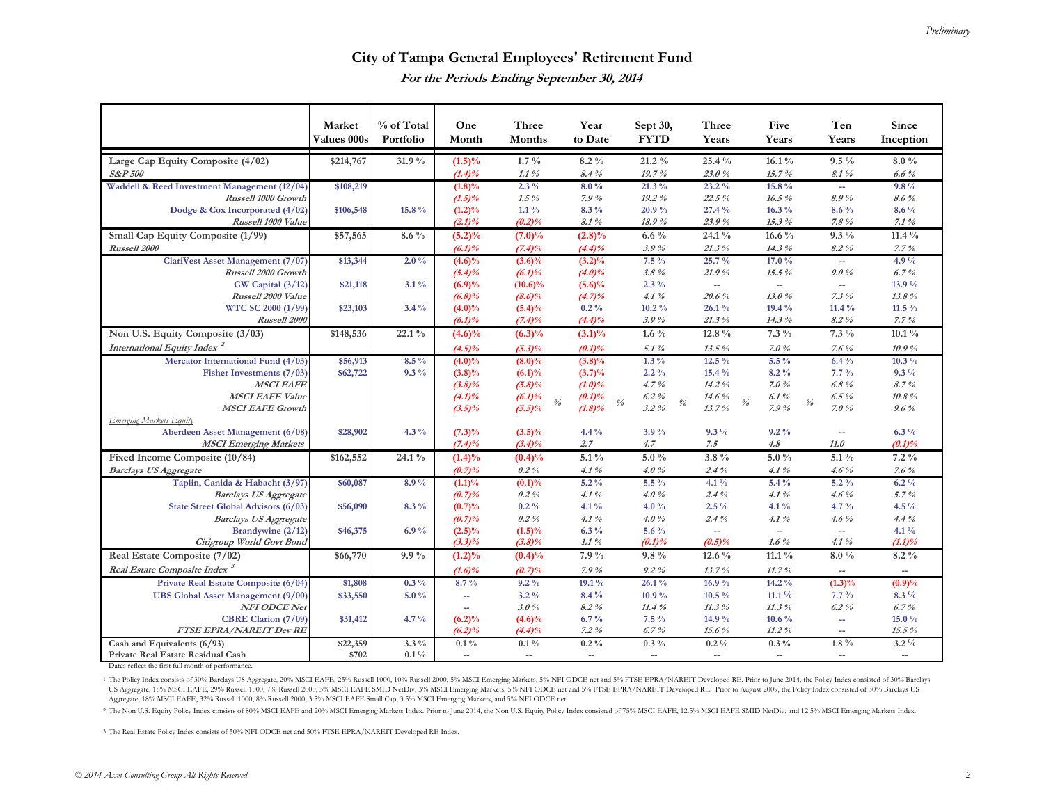## **City of Tampa General Employees' Retirement Fund For the Periods Ending September 30, 2014**

|                                                   | Market               | % of Total | One                      | Three                                        | Year                     | Sept 30,                                                      | Three                            | Five                            | Ten                         | Since                    |
|---------------------------------------------------|----------------------|------------|--------------------------|----------------------------------------------|--------------------------|---------------------------------------------------------------|----------------------------------|---------------------------------|-----------------------------|--------------------------|
|                                                   | Values 000s          | Portfolio  | Month                    | Months                                       | to Date                  | <b>FYTD</b>                                                   | Years                            | Years                           | Years                       | Inception                |
| Large Cap Equity Composite (4/02)                 | \$214,767            | 31.9 %     | $(1.5)\%$                | $1.7\%$                                      | $8.2\%$                  | $21.2\%$                                                      | 25.4 %                           | $16.1\%$                        | $9.5\%$                     | $8.0\%$                  |
| <b>S&amp;P 500</b>                                |                      |            | $(1.4)\%$                | $1.1\%$                                      | 8.4%                     | 19.7%                                                         | 23.0%                            | 15.7%                           | 8.1%                        | $6.6\%$                  |
| Waddell & Reed Investment Management (12/04)      | \$108,219            |            | $(1.8)\%$                | $2.3\%$                                      | $8.0\%$                  | $21.3\%$                                                      | $23.2\%$                         | 15.8%                           | $\mathcal{L}_{\mathcal{A}}$ | $9.8\%$                  |
| Russell 1000 Growth                               |                      |            | $(1.5)\%$                | $1.5\%$                                      | 7.9%                     | 19.2%                                                         | 22.5%                            | 16.5%                           | 8.9%                        | 8.6%                     |
| Dodge & Cox Incorporated (4/02)                   | \$106,548            | 15.8 %     | $(1.2)\%$                | $1.1\%$                                      | $8.3\%$                  | 20.9%                                                         | 27.4 %                           | $16.3\%$                        | $8.6\%$                     | $8.6\%$                  |
| Russell 1000 Value                                |                      |            | $(2.1)\%$                | (0.2)%                                       | 8.1%                     | 18.9%                                                         | 23.9%                            | 15.3%                           | 7.8%                        | 7.1%                     |
| Small Cap Equity Composite (1/99)                 | \$57,565             | $8.6\%$    | $(5.2)\%$                | $(7.0)\%$                                    | $(2.8)\%$                | 6.6 $\%$                                                      | 24.1 %                           | 16.6 %                          | $9.3\%$                     | 11.4 $\%$                |
| Russell 2000                                      |                      |            | $(6.1)\%$                | $(7.4)\%$                                    | $(4.4)\%$                | 3.9%                                                          | 21.3%                            | 14.3%                           | 8.2%                        | 7.7%                     |
| ClariVest Asset Management (7/07)                 | \$13,344             | $2.0\%$    | $(4.6)\%$                | $(3.6)\%$                                    | $(3.2)\%$                | $7.5\%$                                                       | 25.7%                            | 17.0 %                          | ш.                          | 4.9 $\%$                 |
| Russell 2000 Growth                               |                      |            | $(5.4)\%$                | $(6.1)\%$                                    | $(4.0)\%$                | $3.8\%$                                                       | 21.9%                            | $15.5\%$                        | 9.0%                        | 6.7%                     |
| GW Capital (3/12)<br>Russell 2000 Value           | \$21,118             | $3.1\%$    | (6.9)%                   | $(10.6)\%$                                   | $(5.6)\%$                | $2.3\%$<br>4.1%                                               | $\sim$<br>20.6%                  | ÷.<br>13.0%                     | ÷.<br>7.3%                  | 13.9%<br>13.8%           |
| WTC SC 2000 (1/99)                                | \$23,103             | $3.4\%$    | (6.8)%<br>$(4.0)\%$      | $(8.6)\%$<br>$(5.4)\%$                       | (4.7)%<br>$0.2\%$        | $10.2\%$                                                      | 26.1%                            | $19.4\%$                        | 11.4%                       | 11.5 $\%$                |
| Russell 2000                                      |                      |            | $(6.1)\%$                | $(7.4)\%$                                    | $(4.4)\%$                | 3.9%                                                          | $21.3\%$                         | 14.3%                           | 8.2%                        | $7.7\%$                  |
| Non U.S. Equity Composite (3/03)                  | \$148,536            | $22.1\%$   | $(4.6)\%$                | $(6.3)\%$                                    | $(3.1)\%$                | $1.6\%$                                                       | 12.8 %                           | $7.3\%$                         | $7.3\%$                     | $10.1\%$                 |
| International Equity Index <sup>2</sup>           |                      |            | $(4.5)\%$                | $(5.3)\%$                                    | (0.1)%                   | 5.1%                                                          | $13.5\%$                         | 7.0%                            | 7.6%                        | 10.9%                    |
| Mercator International Fund (4/03)                | \$56,913             | $8.5\%$    | $(4.0)\%$                | $(8.0)\%$                                    | $(3.8)\%$                | $1.3\%$                                                       | $12.5\%$                         | $5.5\%$                         | $6.4\%$                     | $10.3\%$                 |
| Fisher Investments (7/03)                         | \$62,722             | $9.3\%$    | $(3.8)\%$                | $(6.1)\%$                                    | (3.7)%                   | $2.2\%$                                                       | 15.4 %                           | 8.2%                            | $7.7\%$                     | $9.3\%$                  |
| <b>MSCI EAFE</b>                                  |                      |            | $(3.8)\%$                | $(5.8)\%$                                    | $(1.0)\%$                | $4.7\%$                                                       | 14.2%                            | 7.0%                            | $6.8\%$                     | 8.7%                     |
| <b>MSCI EAFE Value</b>                            |                      |            | $(4.1)\%$                | (6.1)%<br>$\frac{\partial}{\partial \theta}$ | (0.1)%                   | $6.2\%$<br>$\frac{\theta}{\theta}$<br>$\frac{\theta}{\theta}$ | 14.6%<br>$\frac{\theta}{\theta}$ | 6.1%<br>$\frac{\theta}{\theta}$ | $6.5\%$                     | $10.8 \%$                |
| <b>MSCI EAFE Growth</b>                           |                      |            | $(3.5)\%$                | $(5.5)\%$                                    | $(1.8)\%$                | $3.2\%$                                                       | 13.7%                            | 7.9%                            | 7.0%                        | $9.6\%$                  |
| Emerging Markets Equity                           |                      |            |                          |                                              |                          |                                                               |                                  |                                 |                             |                          |
| Aberdeen Asset Management (6/08)                  | \$28,902             | $4.3\%$    | $(7.3)\%$                | $(3.5)\%$                                    | $4.4\%$                  | $3.9\%$                                                       | $9.3\%$                          | $9.2\%$                         | ÷                           | $6.3\%$                  |
| <b>MSCI</b> Emerging Markets                      |                      |            | $(7.4)\%$                | $(3.4)\%$                                    | 2.7                      | 4.7                                                           | 7.5                              | 4.8                             | 11.0                        | (0.1)%                   |
| Fixed Income Composite (10/84)                    | \$162,552            | 24.1%      | $(1.4)\%$                | $(0.4)\%$                                    | $5.1\%$                  | $5.0\%$                                                       | $3.8\%$                          | $5.0\%$                         | $5.1\%$                     | $7.2\%$                  |
| <b>Barclays US Aggregate</b>                      |                      |            | (0.7)%                   | $0.2\%$                                      | 4.1%                     | $4.0\%$                                                       | $2.4\%$                          | 4.1%                            | $4.6\%$                     | $7.6\%$                  |
| Taplin, Canida & Habacht (3/97)                   | \$60,087             | $8.9\%$    | $(1.1)\%$                | (0.1)%                                       | $5.2\%$                  | $5.5\%$                                                       | $4.1\%$                          | $5.4\%$                         | $5.2\%$                     | $6.2\%$                  |
| <b>Barclays US Aggregate</b>                      |                      |            | (0.7)%                   | $0.2\%$                                      | 4.1%                     | $4.0\%$                                                       | $2.4\%$                          | 4.1%                            | 4.6%                        | 5.7%                     |
| <b>State Street Global Advisors (6/03)</b>        | \$56,090             | $8.3\%$    | (0.7)%                   | $0.2\%$                                      | $4.1\%$                  | $4.0\%$                                                       | $2.5\%$                          | $4.1\%$                         | 4.7 $\frac{9}{6}$           | 4.5 $%$<br>4.4%          |
| <b>Barclays US Aggregate</b><br>Brandywine (2/12) | \$46,375             | 6.9%       | (0.7)%<br>$(2.5)\%$      | $0.2\%$<br>$(1.5)\%$                         | 4.1%<br>$6.3\%$          | $4.0\%$<br>5.6 $\%$                                           | $2.4\%$<br>$\Delta \Delta \phi$  | 4.1%<br>÷.                      | 4.6%<br>u.                  | $4.1\%$                  |
| Citigroup World Govt Bond                         |                      |            | $(3.3)\%$                | $(3.8)\%$                                    | $1.1\,\%$                | (0.1)%                                                        | (0.5)%                           | $1.6\%$                         | 4.1%                        | (1.1)%                   |
| Real Estate Composite (7/02)                      | \$66,770             | $9.9\%$    | $(1.2)\%$                | $(0.4)\%$                                    | 7.9%                     | $9.8\%$                                                       | 12.6 %                           | $11.1\%$                        | $8.0\%$                     | $8.2\%$                  |
| Real Estate Composite Index                       |                      |            | $(1.6)\%$                | (0.7)%                                       | 7.9%                     | $9.2\%$                                                       | 13.7%                            | 11.7%                           | $\overline{\phantom{a}}$    | $\overline{\phantom{a}}$ |
| Private Real Estate Composite (6/04)              | \$1,808              | $0.3\%$    | $8.7\%$                  | $9.2\%$                                      | 19.1%                    | 26.1%                                                         | 16.9%                            | $14.2\%$                        | $(1.3)\%$                   | (0.9)%                   |
| <b>UBS Global Asset Management (9/00)</b>         | \$33,550             | $5.0\%$    | $\overline{a}$           | $3.2\%$                                      | 8.4 %                    | 10.9%                                                         | $10.5\%$                         | $11.1\%$                        | $7.7\%$                     | $8.3\%$                  |
| NFI ODCE Net                                      |                      |            | $\overline{\phantom{a}}$ | 3.0%                                         | $8.2\%$                  | 11.4%                                                         | 11.3%                            | 11.3%                           | $6.2\%$                     | 6.7%                     |
| <b>CBRE Clarion</b> (7/09)                        | \$31,412             | $4.7\%$    | $(6.2)\%$                | $(4.6)\%$                                    | $6.7\%$                  | $7.5\%$                                                       | 14.9%                            | $10.6\%$                        | $\sim$                      | 15.0%                    |
| <b>FTSE EPRA/NAREIT Dev RE</b>                    |                      |            | $(6.2)\%$                | $(4.4)\%$                                    | $7.2\%$                  | 6.7%                                                          | 15.6 $%$                         | $11.2\%$                        | $\overline{\phantom{a}}$    | $15.5\%$                 |
| Cash and Equivalents (6/93)                       | $\overline{$22,359}$ | $3.3\%$    | $0.1\%$                  | $0.1\%$                                      | $0.2\%$                  | $0.3\%$                                                       | $0.2\%$                          | $0.3\%$                         | $1.8\%$                     | $3.2\%$                  |
| Private Real Estate Residual Cash                 | \$702                | $0.1\%$    | $\overline{\phantom{a}}$ | $\overline{a}$                               | $\overline{\phantom{a}}$ | $\overline{\phantom{a}}$                                      | $\overline{\phantom{a}}$         | $\overline{a}$                  | $\overline{\phantom{a}}$    | $\overline{\phantom{a}}$ |

Dates reflect the first full month of performance.

1 The Policy Index consists of 30% Barclays US Aggregate, 20% MSCI EAFE, 25% Russell 1000, 10% Russell 2000, 5% MSCI Emerging Markets, 5% NFI ODCE net and 5% FTSE EPRA/NAREIT Developed RE. Prior to June 2014, the Policy In Aggregate, 18% MSCI EAFE, 32% Russell 1000, 8% Russell 2000, 3.5% MSCI EAFE Small Cap, 3.5% MSCI Emerging Markets, and 5% NFI ODCE net.

2 The Non U.S. Equity Policy Index consists of 80% MSCI EAFE and 20% MSCI Emerging Markets Index. Prior to June 2014, the Non U.S. Equity Policy Index consisted of 75% MSCI EAFE, 12.5% MSCI EAFE SMID NetDiv, and 12.5% MSCI

3 The Real Estate Policy Index consists of 50% NFI ODCE net and 50% FTSE EPRA/NAREIT Developed RE Index.